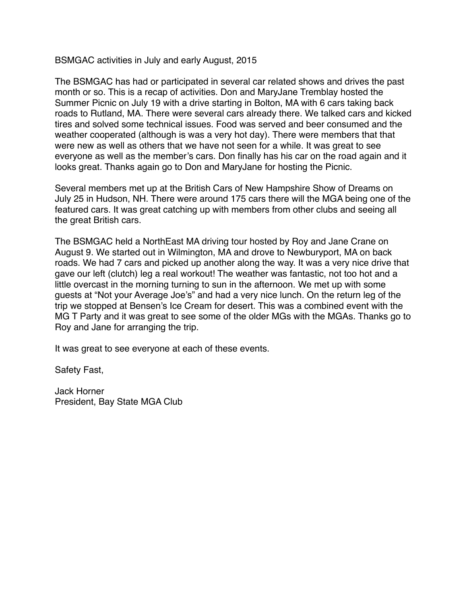BSMGAC activities in July and early August, 2015

The BSMGAC has had or participated in several car related shows and drives the past month or so. This is a recap of activities. Don and MaryJane Tremblay hosted the Summer Picnic on July 19 with a drive starting in Bolton, MA with 6 cars taking back roads to Rutland, MA. There were several cars already there. We talked cars and kicked tires and solved some technical issues. Food was served and beer consumed and the weather cooperated (although is was a very hot day). There were members that that were new as well as others that we have not seen for a while. It was great to see everyone as well as the member's cars. Don finally has his car on the road again and it looks great. Thanks again go to Don and MaryJane for hosting the Picnic.

Several members met up at the British Cars of New Hampshire Show of Dreams on July 25 in Hudson, NH. There were around 175 cars there will the MGA being one of the featured cars. It was great catching up with members from other clubs and seeing all the great British cars.

The BSMGAC held a NorthEast MA driving tour hosted by Roy and Jane Crane on August 9. We started out in Wilmington, MA and drove to Newburyport, MA on back roads. We had 7 cars and picked up another along the way. It was a very nice drive that gave our left (clutch) leg a real workout! The weather was fantastic, not too hot and a little overcast in the morning turning to sun in the afternoon. We met up with some guests at "Not your Average Joe's" and had a very nice lunch. On the return leg of the trip we stopped at Bensen's Ice Cream for desert. This was a combined event with the MG T Party and it was great to see some of the older MGs with the MGAs. Thanks go to Roy and Jane for arranging the trip.

It was great to see everyone at each of these events.

Safety Fast,

Jack Horner President, Bay State MGA Club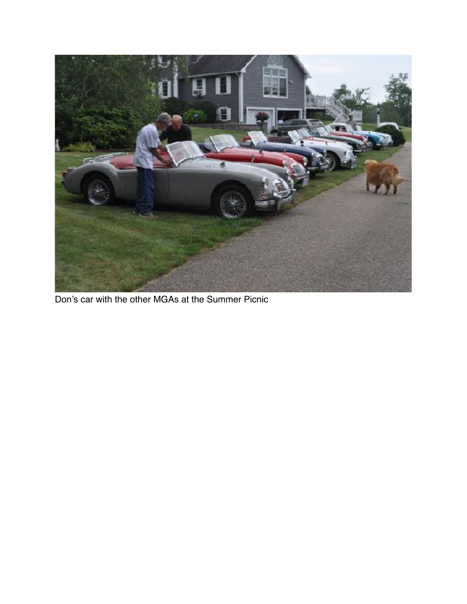

Don's car with the other MGAs at the Summer Picnic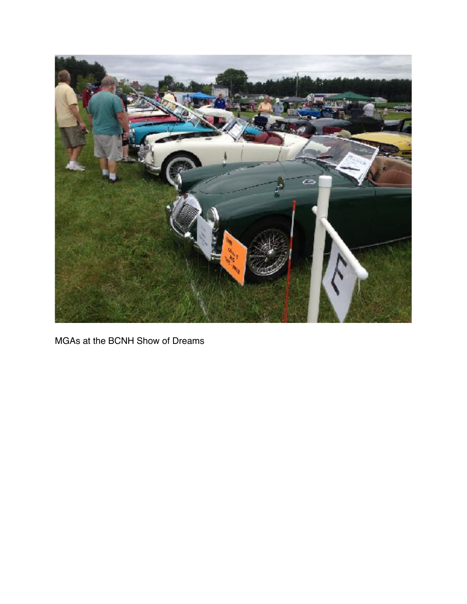

MGAs at the BCNH Show of Dreams